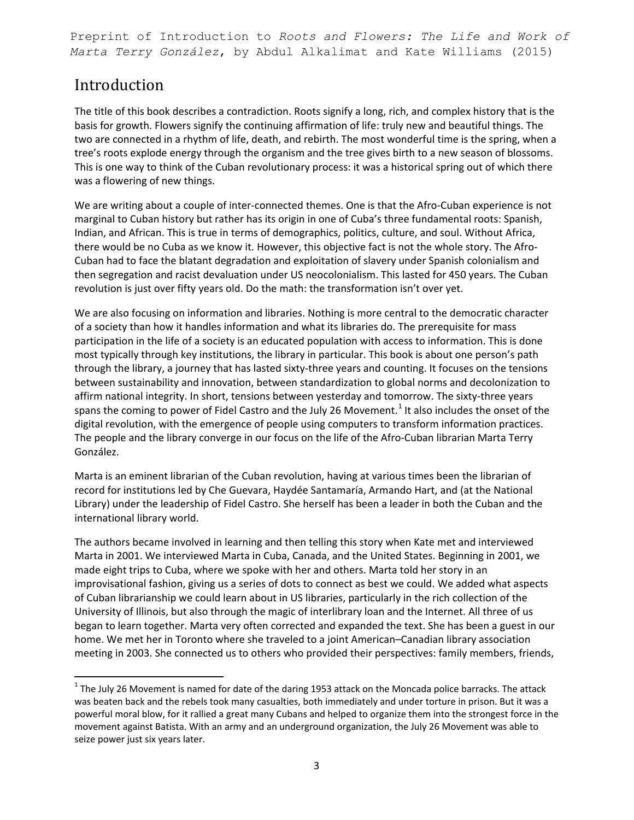Preprint of Introduction to *Roots and Flowers: The Life and Work of Marta Terry González*, by Abdul Alkalimat and Kate Williams (2015)

## Introduction

The title of this book describes a contradiction. Roots signify a long, rich, and complex history that is the basis for growth. Flowers signify the continuing affirmation of life: truly new and beautiful things. The two are connected in a rhythm of life, death, and rebirth. The most wonderful time is the spring, when a tree's roots explode energy through the organism and the tree gives birth to a new season of blossoms. This is one way to think of the Cuban revolutionary process: it was a historical spring out of which there was a flowering of new things.

We are writing about a couple of inter-connected themes. One is that the Afro-Cuban experience is not marginal to Cuban history but rather has its origin in one of Cuba's three fundamental roots: Spanish, Indian, and African. This is true in terms of demographics, politics, culture, and soul. Without Africa, there would be no Cuba as we know it. However, this objective fact is not the whole story. The Afro-Cuban had to face the blatant degradation and exploitation of slavery under Spanish colonialism and then segregation and racist devaluation under US neocolonialism. This lasted for 450 years. The Cuban revolution is just over fifty years old. Do the math: the transformation isn't over yet.

We are also focusing on information and libraries. Nothing is more central to the democratic character of a society than how it handles information and what its libraries do. The prerequisite for mass participation in the life of a society is an educated population with access to information. This is done most typically through key institutions, the library in particular. This book is about one person's path through the library, a journey that has lasted sixty-three years and counting. It focuses on the tensions between sustainability and innovation, between standardization to global norms and decolonization to affirm national integrity. In short, tensions between yesterday and tomorrow. The sixty-three years spans the coming to power of Fidel Castro and the July 26 Movement.<sup>[1](#page-0-0)</sup> It also includes the onset of the digital revolution, with the emergence of people using computers to transform information practices. The people and the library converge in our focus on the life of the Afro-Cuban librarian Marta Terry González.

Marta is an eminent librarian of the Cuban revolution, having at various times been the librarian of record for institutions led by Che Guevara, Haydée Santamaría, Armando Hart, and (at the National Library) under the leadership of Fidel Castro. She herself has been a leader in both the Cuban and the international library world.

The authors became involved in learning and then telling this story when Kate met and interviewed Marta in 2001. We interviewed Marta in Cuba, Canada, and the United States. Beginning in 2001, we made eight trips to Cuba, where we spoke with her and others. Marta told her story in an improvisational fashion, giving us a series of dots to connect as best we could. We added what aspects of Cuban librarianship we could learn about in US libraries, particularly in the rich collection of the University of Illinois, but also through the magic of interlibrary loan and the Internet. All three of us began to learn together. Marta very often corrected and expanded the text. She has been a guest in our home. We met her in Toronto where she traveled to a joint American–Canadian library association meeting in 2003. She connected us to others who provided their perspectives: family members, friends,

<span id="page-0-0"></span> $1$  The July 26 Movement is named for date of the daring 1953 attack on the Moncada police barracks. The attack was beaten back and the rebels took many casualties, both immediately and under torture in prison. But it was a powerful moral blow, for it rallied a great many Cubans and helped to organize them into the strongest force in the movement against Batista. With an army and an underground organization, the July 26 Movement was able to seize power just six years later.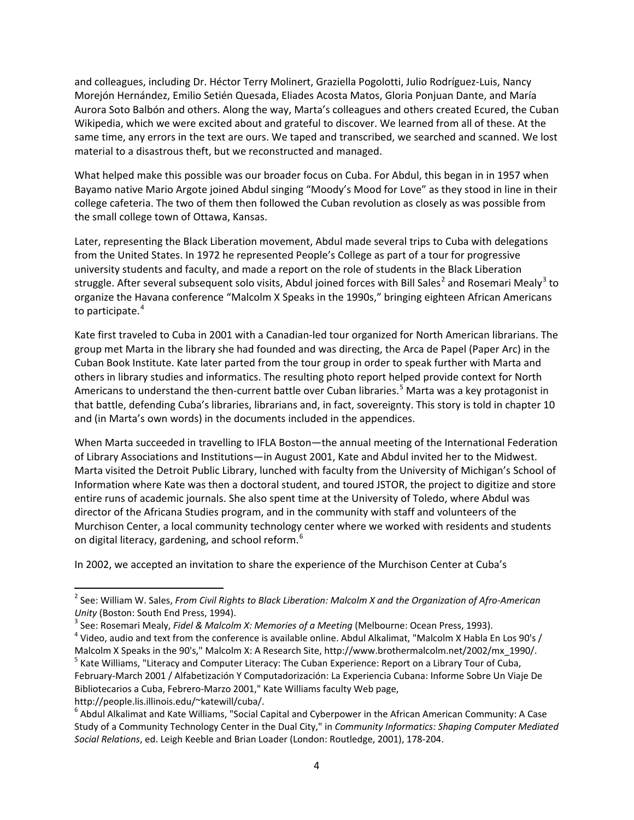and colleagues, including Dr. Héctor Terry Molinert, Graziella Pogolotti, Julio Rodríguez-Luis, Nancy Morejón Hernández, Emilio Setién Quesada, Eliades Acosta Matos, Gloria Ponjuan Dante, and María Aurora Soto Balbón and others. Along the way, Marta's colleagues and others created Ecured, the Cuban Wikipedia, which we were excited about and grateful to discover. We learned from all of these. At the same time, any errors in the text are ours. We taped and transcribed, we searched and scanned. We lost material to a disastrous theft, but we reconstructed and managed.

What helped make this possible was our broader focus on Cuba. For Abdul, this began in in 1957 when Bayamo native Mario Argote joined Abdul singing "Moody's Mood for Love" as they stood in line in their college cafeteria. The two of them then followed the Cuban revolution as closely as was possible from the small college town of Ottawa, Kansas.

Later, representing the Black Liberation movement, Abdul made several trips to Cuba with delegations from the United States. In 1972 he represented People's College as part of a tour for progressive university students and faculty, and made a report on the role of students in the Black Liberation struggle. After several subsequent solo visits, Abdul joined forces with Bill Sales<sup>[2](#page-1-0)</sup> and Rosemari Mealy<sup>[3](#page-1-1)</sup> to organize the Havana conference "Malcolm X Speaks in the 1990s," bringing eighteen African Americans to participate.<sup>[4](#page-1-2)</sup>

Kate first traveled to Cuba in 2001 with a Canadian-led tour organized for North American librarians. The group met Marta in the library she had founded and was directing, the Arca de Papel (Paper Arc) in the Cuban Book Institute. Kate later parted from the tour group in order to speak further with Marta and others in library studies and informatics. The resulting photo report helped provide context for North Americans to understand the then-current battle over Cuban libraries.<sup>[5](#page-1-3)</sup> Marta was a key protagonist in that battle, defending Cuba's libraries, librarians and, in fact, sovereignty. This story is told in chapter 10 and (in Marta's own words) in the documents included in the appendices.

When Marta succeeded in travelling to IFLA Boston—the annual meeting of the International Federation of Library Associations and Institutions—in August 2001, Kate and Abdul invited her to the Midwest. Marta visited the Detroit Public Library, lunched with faculty from the University of Michigan's School of Information where Kate was then a doctoral student, and toured JSTOR, the project to digitize and store entire runs of academic journals. She also spent time at the University of Toledo, where Abdul was director of the Africana Studies program, and in the community with staff and volunteers of the Murchison Center, a local community technology center where we worked with residents and students on digital literacy, gardening, and school reform.<sup>[6](#page-1-4)</sup>

In 2002, we accepted an invitation to share the experience of the Murchison Center at Cuba's

http://people.lis.illinois.edu/~katewill/cuba/.

<span id="page-1-0"></span><sup>2</sup> See: William W. Sales, *From Civil Rights to Black Liberation: Malcolm X and the Organization of Afro-American* 

<span id="page-1-2"></span>

<span id="page-1-1"></span>Unity (Boston: South End Press, 1994).<br><sup>3</sup> See: Rosemari Mealy, *Fidel & Malcolm X: Memories of a Meeting* (Melbourne: Ocean Press, 1993).<br><sup>4</sup> Video, audio and text from the conference is available online. Abdul Alkalimat, Malcolm X Speaks in the 90's," Malcolm X: A Research Site, http://www.brothermalcolm.net/2002/mx\_1990/. 5 Kate Williams, "Literacy and Computer Literacy: The Cuban Experience: Report on a Library Tour of Cuba,

<span id="page-1-3"></span>February-March 2001 / Alfabetización Y Computadorización: La Experiencia Cubana: Informe Sobre Un Viaje De Bibliotecarios a Cuba, Febrero-Marzo 2001," Kate Williams faculty Web page,

<span id="page-1-4"></span> $6$  Abdul Alkalimat and Kate Williams, "Social Capital and Cyberpower in the African American Community: A Case Study of a Community Technology Center in the Dual City," in *Community Informatics: Shaping Computer Mediated Social Relations*, ed. Leigh Keeble and Brian Loader (London: Routledge, 2001), 178-204.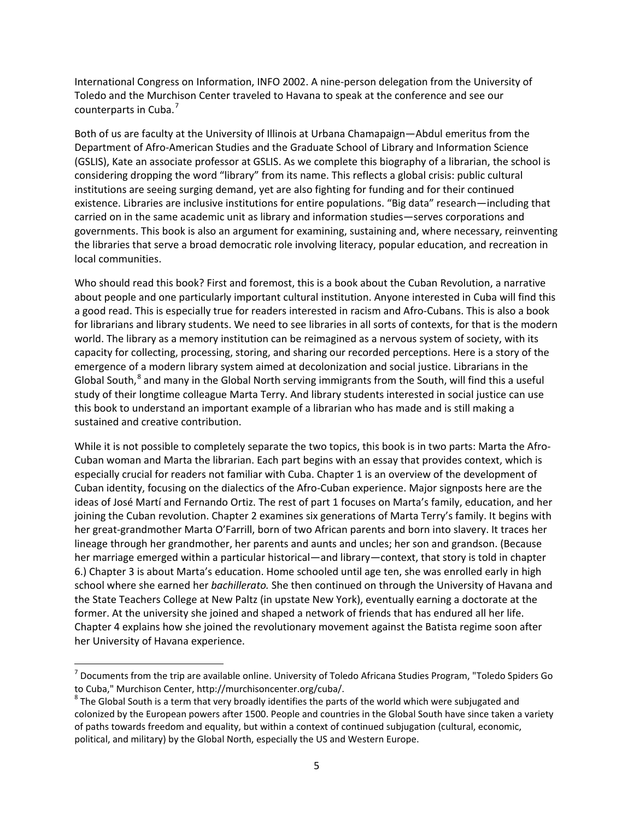International Congress on Information, INFO 2002. A nine-person delegation from the University of Toledo and the Murchison Center traveled to Havana to speak at the conference and see our counterparts in Cuba.<sup>[7](#page-2-0)</sup>

Both of us are faculty at the University of Illinois at Urbana Chamapaign—Abdul emeritus from the Department of Afro-American Studies and the Graduate School of Library and Information Science (GSLIS), Kate an associate professor at GSLIS. As we complete this biography of a librarian, the school is considering dropping the word "library" from its name. This reflects a global crisis: public cultural institutions are seeing surging demand, yet are also fighting for funding and for their continued existence. Libraries are inclusive institutions for entire populations. "Big data" research—including that carried on in the same academic unit as library and information studies—serves corporations and governments. This book is also an argument for examining, sustaining and, where necessary, reinventing the libraries that serve a broad democratic role involving literacy, popular education, and recreation in local communities.

Who should read this book? First and foremost, this is a book about the Cuban Revolution, a narrative about people and one particularly important cultural institution. Anyone interested in Cuba will find this a good read. This is especially true for readers interested in racism and Afro-Cubans. This is also a book for librarians and library students. We need to see libraries in all sorts of contexts, for that is the modern world. The library as a memory institution can be reimagined as a nervous system of society, with its capacity for collecting, processing, storing, and sharing our recorded perceptions. Here is a story of the emergence of a modern library system aimed at decolonization and social justice. Librarians in the Global South,<sup>[8](#page-2-1)</sup> and many in the Global North serving immigrants from the South, will find this a useful study of their longtime colleague Marta Terry. And library students interested in social justice can use this book to understand an important example of a librarian who has made and is still making a sustained and creative contribution.

While it is not possible to completely separate the two topics, this book is in two parts: Marta the Afro-Cuban woman and Marta the librarian. Each part begins with an essay that provides context, which is especially crucial for readers not familiar with Cuba. Chapter 1 is an overview of the development of Cuban identity, focusing on the dialectics of the Afro-Cuban experience. Major signposts here are the ideas of José Martí and Fernando Ortiz. The rest of part 1 focuses on Marta's family, education, and her joining the Cuban revolution. Chapter 2 examines six generations of Marta Terry's family. It begins with her great-grandmother Marta O'Farrill, born of two African parents and born into slavery. It traces her lineage through her grandmother, her parents and aunts and uncles; her son and grandson. (Because her marriage emerged within a particular historical—and library—context, that story is told in chapter 6.) Chapter 3 is about Marta's education. Home schooled until age ten, she was enrolled early in high school where she earned her *bachillerato.* She then continued on through the University of Havana and the State Teachers College at New Paltz (in upstate New York), eventually earning a doctorate at the former. At the university she joined and shaped a network of friends that has endured all her life. Chapter 4 explains how she joined the revolutionary movement against the Batista regime soon after her University of Havana experience.

<span id="page-2-0"></span> $^7$  Documents from the trip are available online. University of Toledo Africana Studies Program, "Toledo Spiders Go to Cuba," Murchison Center, http://murchisoncenter.org/cuba/.

<span id="page-2-1"></span> $8$  The Global South is a term that very broadly identifies the parts of the world which were subjugated and colonized by the European powers after 1500. People and countries in the Global South have since taken a variety of paths towards freedom and equality, but within a context of continued subjugation (cultural, economic, political, and military) by the Global North, especially the US and Western Europe.